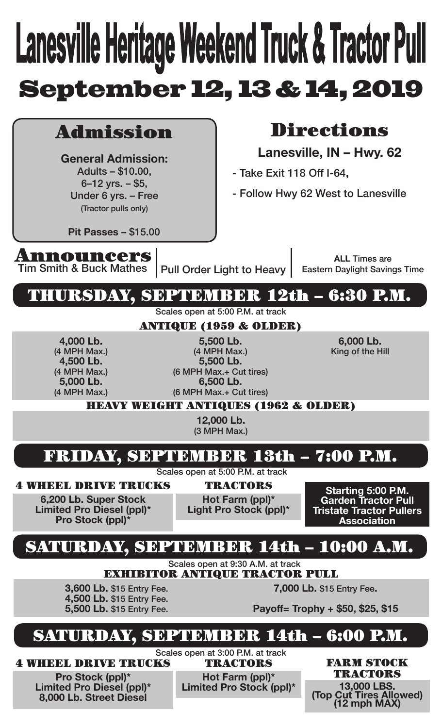# **Lanesville Heritage Weekend Truck & Tractor Pull** September 12, 13 & 14, 2019

# Admission

**General Admission:** Adults – \$10.00, 6–12 yrs. – \$5, Under 6 yrs. – Free (Tractor pulls only)

# Directions

**Lanesville, IN – Hwy. 62**

- Take Exit 118 Off I-64,
- Follow Hwy 62 West to Lanesville

**Pit Passes** – \$15.00

**Announcers**<br>Tim Smith & Buck Mathes

Pull Order Light to Heavy

**ALL** Times are Eastern Daylight Savings Time

## THURSDAY, SEPTEMBER 12th – 6:30 P.M.

Scales open at 5:00 P.M. at track

## ANTIQUE (1959 & OLDER)

**4,000 Lb.** (4 MPH Max.) **4,500 Lb.** (4 MPH Max.) **5,000 Lb.** (4 MPH Max.)

**5,500 Lb.** (4 MPH Max.) **5,500 Lb.** (6 MPH Max.+ Cut tires) **6,500 Lb.** (6 MPH Max.+ Cut tires)

**6,000 Lb.** King of the Hill

HEAVY WEIGHT ANTIQUES (1962 & OLDER)

**12,000 Lb.** (3 MPH Max.)

# FRIDAY, SEPTEMBER 13th – 7:00 P.M.

Scales open at 5:00 P.M. at track

4 WHEEL DRIVE TRUCKS **6,200 Lb. Super Stock**

**Limited Pro Diesel (ppl)\* Pro Stock (ppl)** 

TRACTORS

**Hot Farm (ppl)\* Light Pro Stock (ppl)\***

**Starting 5:00 P.M. Garden Tractor Pull Tristate Tractor Pullers Association**

# SATURDAY, SEPTEMBER 14th – 10:00 A.M.

Scales open at 9:30 A.M. at track EXHIBITOR ANTIQUE TRACTOR PULL

**3,600 Lb.** \$15 Entry Fee. **4,500 Lb.** \$15 Entry Fee. **5,500 Lb.** \$15 Entry Fee. **7,000 Lb.** \$15 Entry Fee**.**

**Payoff= Trophy + \$50, \$25, \$15**

# SEPTEMBER 14th – 6:00 P.M.

4 WHEEL DRIVE TRUCKS

**Pro Stock (ppl)\* Limited Pro Diesel (ppl)\* 8,000 Lb. Street Diesel**

Scales open at 3:00 P.M. at track

**Hot Farm (ppl)\***<br>**Limited Pro Stock (ppl)\*** 

TRACTORS FARM STOCK TRACTORS

**Limited Pro Stock (ppl)\* 13,000 LBS. (Top Cut Tires Allowed) (12 mph MAX)**